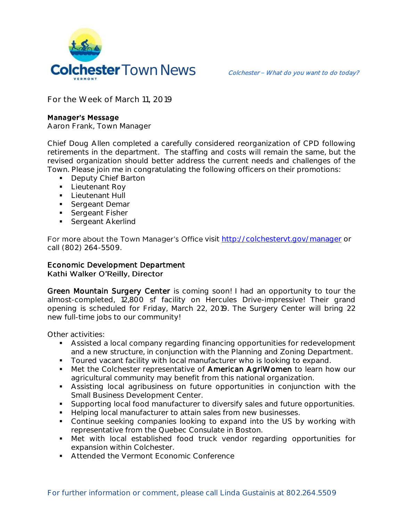

**For the Week of March 11, 2019**

## **Manager's Message**

**Aaron Frank, Town Manager**

Chief Doug Allen completed a carefully considered reorganization of CPD following retirements in the department. The staffing and costs will remain the same, but the revised organization should better address the current needs and challenges of the Town. Please join me in congratulating the following officers on their promotions:

- **Deputy Chief Barton**
- **Lieutenant Roy**
- **-** Lieutenant Hull
- **Sergeant Demar**
- **Sergeant Fisher**
- Sergeant Akerlind

For more about the Town Manager's Office visit<http://colchestervt.gov/manager> or call (802) 264-5509.

## Economic Development Department Kathi Walker O'Reilly, Director

Green Mountain Surgery Center is coming soon! I had an opportunity to tour the almost-completed, 12,800 sf facility on Hercules Drive-impressive! Their grand opening is scheduled for Friday, March 22, 2019. The Surgery Center will bring 22 new full-time jobs to our community!

Other activities:

- Assisted a local company regarding financing opportunities for redevelopment and a new structure, in conjunction with the Planning and Zoning Department.
- **Toured vacant facility with local manufacturer who is looking to expand.**
- Met the Colchester representative of American AgriWomen to learn how our agricultural community may benefit from this national organization.
- Assisting local agribusiness on future opportunities in conjunction with the Small Business Development Center.
- Supporting local food manufacturer to diversify sales and future opportunities.
- Helping local manufacturer to attain sales from new businesses.
- Continue seeking companies looking to expand into the US by working with representative from the Quebec Consulate in Boston.
- Met with local established food truck vendor regarding opportunities for expansion within Colchester.
- **Attended the Vermont Economic Conference**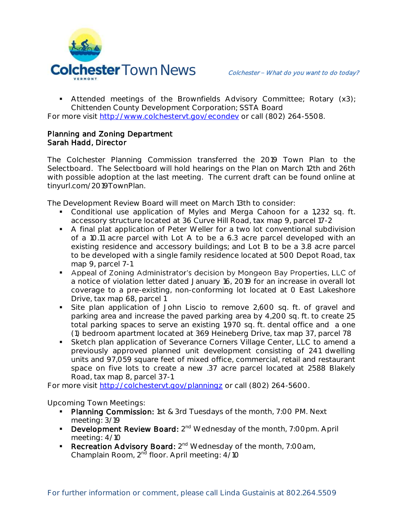

 Attended meetings of the Brownfields Advisory Committee; Rotary (x3); Chittenden County Development Corporation; SSTA Board

For more visit [http://www.colchestervt.gov/e](http://www.colchestervt.gov/)condev or call (802) 264-5508.

## Planning and Zoning Department Sarah Hadd, Director

The Colchester Planning Commission transferred the 2019 Town Plan to the Selectboard. The Selectboard will hold hearings on the Plan on March 12th and 26th with possible adoption at the last meeting. The current draft can be found online at tinyurl.com/2019TownPlan.

The Development Review Board will meet on March 13th to consider:

- Conditional use application of Myles and Merga Cahoon for a 1,232 sq. ft. accessory structure located at 36 Curve Hill Road, tax map 9, parcel 17-2
- A final plat application of Peter Weller for a two lot conventional subdivision of a 10.11 acre parcel with Lot A to be a 6.3 acre parcel developed with an existing residence and accessory buildings; and Lot B to be a 3.8 acre parcel to be developed with a single family residence located at 500 Depot Road, tax map 9, parcel 7-1
- Appeal of Zoning Administrator's decision by Mongeon Bay Properties, LLC of a notice of violation letter dated January 16, 2019 for an increase in overall lot coverage to a pre-existing, non-conforming lot located at 0 East Lakeshore Drive, tax map 68, parcel 1
- Site plan application of John Liscio to remove 2,600 sq. ft. of gravel and parking area and increase the paved parking area by 4,200 sq. ft. to create 25 total parking spaces to serve an existing 1,970 sq. ft. dental office and a one (1) bedroom apartment located at 369 Heineberg Drive, tax map 37, parcel 78
- Sketch plan application of Severance Corners Village Center, LLC to amend a previously approved planned unit development consisting of 241 dwelling units and 97,059 square feet of mixed office, commercial, retail and restaurant space on five lots to create a new .37 acre parcel located at 2588 Blakely Road, tax map 8, parcel 37-1

For more visit<http://colchestervt.gov/planningz> or call (802) 264-5600.

**Upcoming Town Meetings:** 

- Planning Commission: 1st & 3rd Tuesdays of the month, 7:00 PM. Next meeting: 3/19
- **Development Review Board:** 2<sup>nd</sup> Wednesday of the month, 7:00pm. April meeting: 4/10
- Recreation Advisory Board: 2<sup>nd</sup> Wednesday of the month, 7:00am, Champlain Room, 2<sup>nd</sup> floor. April meeting: 4/10